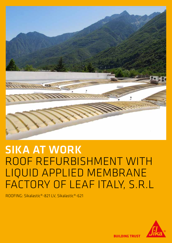

# SIKA AT WORK ROOF REFURBISHMENT WITH LIQUID APPLIED MEMBRANE FACTORY OF LEAF ITALY, S.R.L

ROOFING: Sikalastic®-821 LV, Sikalastic®-621



**BUILDING TRUST**